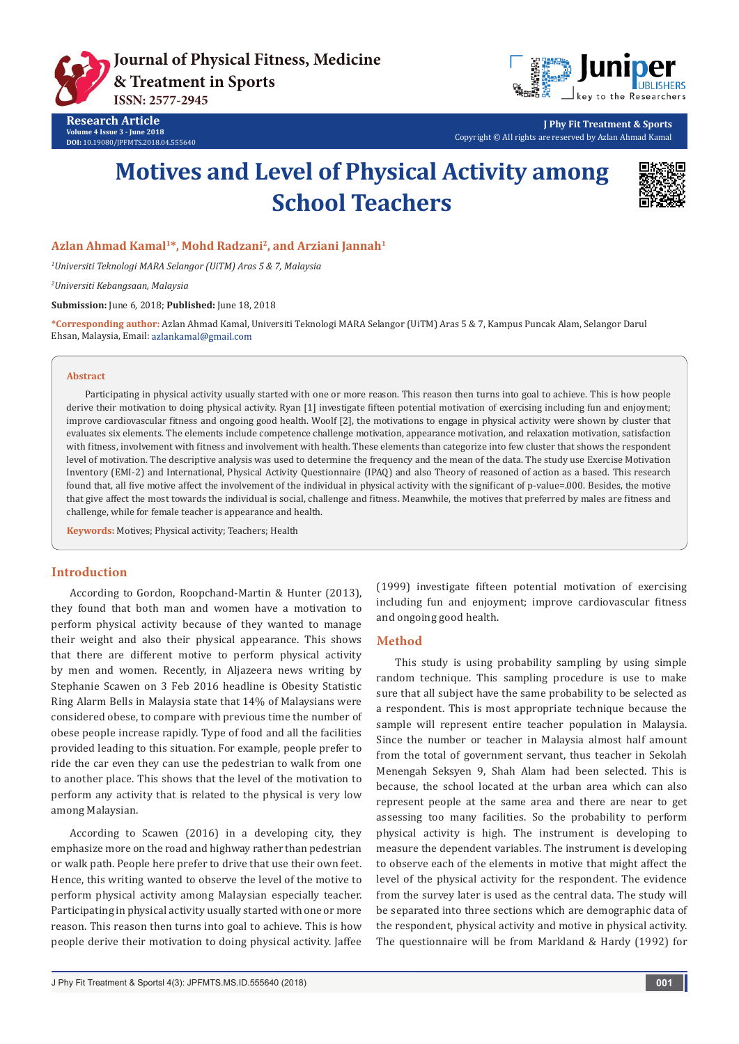



**J Phy Fit Treatment & Sports** Copyright © All rights are reserved by Azlan Ahmad Kamal

# **Motives and Level of Physical Activity among School Teachers**



### **Azlan Ahmad Kamal1\*, Mohd Radzani2, and Arziani Jannah1**

*1 Universiti Teknologi MARA Selangor (UiTM) Aras 5 & 7, Malaysia*

*2 Universiti Kebangsaan, Malaysia*

**Submission:** June 6, 2018; **Published:** June 18, 2018

**\*Corresponding author:** Azlan Ahmad Kamal, Universiti Teknologi MARA Selangor (UiTM) Aras 5 & 7, Kampus Puncak Alam, Selangor Darul Ehsan, Malaysia, Email:

#### **Abstract**

Participating in physical activity usually started with one or more reason. This reason then turns into goal to achieve. This is how people derive their motivation to doing physical activity. Ryan [1] investigate fifteen potential motivation of exercising including fun and enjoyment; improve cardiovascular fitness and ongoing good health. Woolf [2], the motivations to engage in physical activity were shown by cluster that evaluates six elements. The elements include competence challenge motivation, appearance motivation, and relaxation motivation, satisfaction with fitness, involvement with fitness and involvement with health. These elements than categorize into few cluster that shows the respondent level of motivation. The descriptive analysis was used to determine the frequency and the mean of the data. The study use Exercise Motivation Inventory (EMI-2) and International, Physical Activity Questionnaire (IPAQ) and also Theory of reasoned of action as a based. This research found that, all five motive affect the involvement of the individual in physical activity with the significant of p-value=.000. Besides, the motive that give affect the most towards the individual is social, challenge and fitness. Meanwhile, the motives that preferred by males are fitness and challenge, while for female teacher is appearance and health.

**Keywords:** Motives; Physical activity; Teachers; Health

#### **Introduction**

According to Gordon, Roopchand-Martin & Hunter (2013), they found that both man and women have a motivation to perform physical activity because of they wanted to manage their weight and also their physical appearance. This shows that there are different motive to perform physical activity by men and women. Recently, in Aljazeera news writing by Stephanie Scawen on 3 Feb 2016 headline is Obesity Statistic Ring Alarm Bells in Malaysia state that 14% of Malaysians were considered obese, to compare with previous time the number of obese people increase rapidly. Type of food and all the facilities provided leading to this situation. For example, people prefer to ride the car even they can use the pedestrian to walk from one to another place. This shows that the level of the motivation to perform any activity that is related to the physical is very low among Malaysian.

According to Scawen (2016) in a developing city, they emphasize more on the road and highway rather than pedestrian or walk path. People here prefer to drive that use their own feet. Hence, this writing wanted to observe the level of the motive to perform physical activity among Malaysian especially teacher. Participating in physical activity usually started with one or more reason. This reason then turns into goal to achieve. This is how people derive their motivation to doing physical activity. Jaffee

(1999) investigate fifteen potential motivation of exercising including fun and enjoyment; improve cardiovascular fitness and ongoing good health.

#### **Method**

This study is using probability sampling by using simple random technique. This sampling procedure is use to make sure that all subject have the same probability to be selected as a respondent. This is most appropriate technique because the sample will represent entire teacher population in Malaysia. Since the number or teacher in Malaysia almost half amount from the total of government servant, thus teacher in Sekolah Menengah Seksyen 9, Shah Alam had been selected. This is because, the school located at the urban area which can also represent people at the same area and there are near to get assessing too many facilities. So the probability to perform physical activity is high. The instrument is developing to measure the dependent variables. The instrument is developing to observe each of the elements in motive that might affect the level of the physical activity for the respondent. The evidence from the survey later is used as the central data. The study will be separated into three sections which are demographic data of the respondent, physical activity and motive in physical activity. The questionnaire will be from Markland & Hardy (1992) for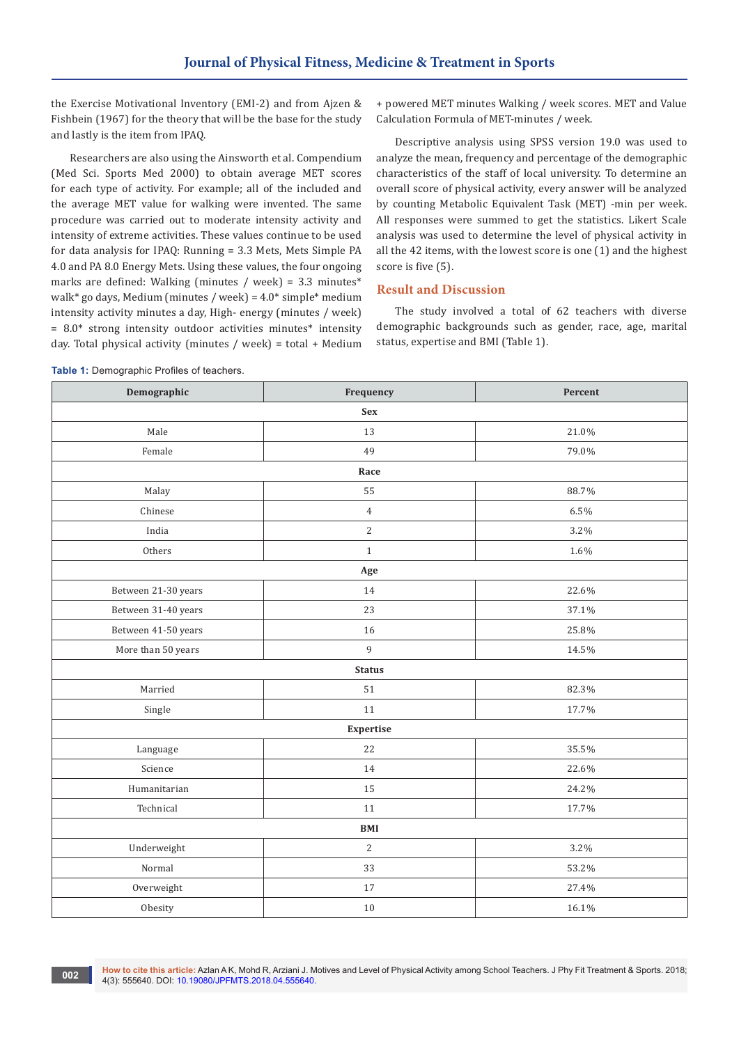the Exercise Motivational Inventory (EMI-2) and from Ajzen & Fishbein (1967) for the theory that will be the base for the study and lastly is the item from IPAQ.

Researchers are also using the Ainsworth et al. Compendium (Med Sci. Sports Med 2000) to obtain average MET scores for each type of activity. For example; all of the included and the average MET value for walking were invented. The same procedure was carried out to moderate intensity activity and intensity of extreme activities. These values continue to be used for data analysis for IPAQ: Running = 3.3 Mets, Mets Simple PA 4.0 and PA 8.0 Energy Mets. Using these values, the four ongoing marks are defined: Walking (minutes / week) = 3.3 minutes\* walk\* go days, Medium (minutes / week) =  $4.0*$  simple\* medium intensity activity minutes a day, High- energy (minutes / week) = 8.0\* strong intensity outdoor activities minutes\* intensity day. Total physical activity (minutes / week) = total + Medium

+ powered MET minutes Walking / week scores. MET and Value Calculation Formula of MET-minutes / week.

Descriptive analysis using SPSS version 19.0 was used to analyze the mean, frequency and percentage of the demographic characteristics of the staff of local university. To determine an overall score of physical activity, every answer will be analyzed by counting Metabolic Equivalent Task (MET) -min per week. All responses were summed to get the statistics. Likert Scale analysis was used to determine the level of physical activity in all the 42 items, with the lowest score is one (1) and the highest score is five (5).

# **Result and Discussion**

The study involved a total of 62 teachers with diverse demographic backgrounds such as gender, race, age, marital status, expertise and BMI (Table 1).

| Demographic         | Frequency      | Percent |  |  |  |  |  |
|---------------------|----------------|---------|--|--|--|--|--|
| <b>Sex</b>          |                |         |  |  |  |  |  |
| Male                | 13             | 21.0%   |  |  |  |  |  |
| Female              | 49             | 79.0%   |  |  |  |  |  |
| Race                |                |         |  |  |  |  |  |
| Malay               | 55             | 88.7%   |  |  |  |  |  |
| Chinese             | $\overline{4}$ | 6.5%    |  |  |  |  |  |
| India               | $\overline{2}$ | 3.2%    |  |  |  |  |  |
| Others              | $\mathbf{1}$   | 1.6%    |  |  |  |  |  |
| Age                 |                |         |  |  |  |  |  |
| Between 21-30 years | 14             | 22.6%   |  |  |  |  |  |
| Between 31-40 years | 23             | 37.1%   |  |  |  |  |  |
| Between 41-50 years | 16             | 25.8%   |  |  |  |  |  |
| More than 50 years  | 9              | 14.5%   |  |  |  |  |  |
| <b>Status</b>       |                |         |  |  |  |  |  |
| Married             | 51             | 82.3%   |  |  |  |  |  |
| Single              | 11             | 17.7%   |  |  |  |  |  |
| Expertise           |                |         |  |  |  |  |  |
| Language            | 22             | 35.5%   |  |  |  |  |  |
| Science             | 14             | 22.6%   |  |  |  |  |  |
| Humanitarian        | 15<br>24.2%    |         |  |  |  |  |  |
| Technical           | 11             | 17.7%   |  |  |  |  |  |
| BMI                 |                |         |  |  |  |  |  |
| Underweight         | $\overline{2}$ | 3.2%    |  |  |  |  |  |
| Normal              | 33             | 53.2%   |  |  |  |  |  |
| Overweight          | 17             | 27.4%   |  |  |  |  |  |
| Obesity             | 10             | 16.1%   |  |  |  |  |  |

**Table 1:** Demographic Profiles of teachers.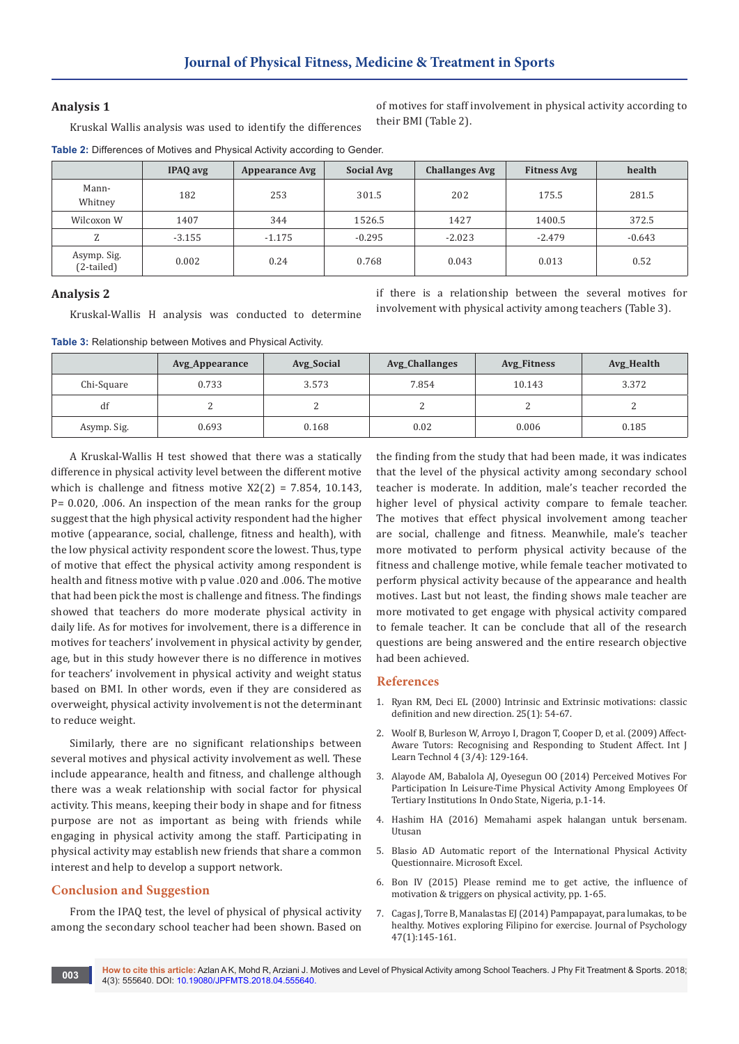#### **Analysis 1**

of motives for staff involvement in physical activity according to their BMI (Table 2).

if there is a relationship between the several motives for involvement with physical activity among teachers (Table 3).

Kruskal Wallis analysis was used to identify the differences

**Table 2:** Differences of Motives and Physical Activity according to Gender.

|                             | IPAQ avg | <b>Appearance Avg</b> | <b>Social Avg</b> | <b>Challanges Avg</b> | <b>Fitness Avg</b> | health   |
|-----------------------------|----------|-----------------------|-------------------|-----------------------|--------------------|----------|
| Mann-<br>Whitney            | 182      | 253                   | 301.5             | 202                   | 175.5              | 281.5    |
| Wilcoxon W                  | 1407     | 344                   | 1526.5            | 1427                  | 1400.5             | 372.5    |
| 7.                          | $-3.155$ | $-1.175$              | $-0.295$          | $-2.023$              | $-2.479$           | $-0.643$ |
| Asymp. Sig.<br>$(2-tailed)$ | 0.002    | 0.24                  | 0.768             | 0.043                 | 0.013              | 0.52     |

## **Analysis 2**

Kruskal-Wallis H analysis was conducted to determine

**Table 3:** Relationship between Motives and Physical Activity.

|             | Avg_Appearance | Avg_Social | <b>Avg_Challanges</b> | Avg_Fitness | Avg_Health |
|-------------|----------------|------------|-----------------------|-------------|------------|
| Chi-Square  | 0.733          | 3.573      | 7.854                 | 10.143      | 3.372      |
| df          |                |            | ∼                     |             |            |
| Asymp. Sig. | 0.693          | 0.168      | 0.02                  | 0.006       | 0.185      |

A Kruskal-Wallis H test showed that there was a statically difference in physical activity level between the different motive which is challenge and fitness motive  $X2(2) = 7.854$ , 10.143, P= 0.020, .006. An inspection of the mean ranks for the group suggest that the high physical activity respondent had the higher motive (appearance, social, challenge, fitness and health), with the low physical activity respondent score the lowest. Thus, type of motive that effect the physical activity among respondent is health and fitness motive with p value .020 and .006. The motive that had been pick the most is challenge and fitness. The findings showed that teachers do more moderate physical activity in daily life. As for motives for involvement, there is a difference in motives for teachers' involvement in physical activity by gender, age, but in this study however there is no difference in motives for teachers' involvement in physical activity and weight status based on BMI. In other words, even if they are considered as overweight, physical activity involvement is not the determinant to reduce weight.

Similarly, there are no significant relationships between several motives and physical activity involvement as well. These include appearance, health and fitness, and challenge although there was a weak relationship with social factor for physical activity. This means, keeping their body in shape and for fitness purpose are not as important as being with friends while engaging in physical activity among the staff. Participating in physical activity may establish new friends that share a common interest and help to develop a support network.

#### **Conclusion and Suggestion**

From the IPAQ test, the level of physical of physical activity among the secondary school teacher had been shown. Based on the finding from the study that had been made, it was indicates that the level of the physical activity among secondary school teacher is moderate. In addition, male's teacher recorded the higher level of physical activity compare to female teacher. The motives that effect physical involvement among teacher are social, challenge and fitness. Meanwhile, male's teacher more motivated to perform physical activity because of the fitness and challenge motive, while female teacher motivated to perform physical activity because of the appearance and health motives. Last but not least, the finding shows male teacher are more motivated to get engage with physical activity compared to female teacher. It can be conclude that all of the research questions are being answered and the entire research objective had been achieved.

#### **References**

- 1. [Ryan RM, Deci EL \(2000\) Intrinsic and Extrinsic motivations: classic](https://www.ncbi.nlm.nih.gov/pubmed/10620381)  [definition and new direction. 25\(1\): 54-67.](https://www.ncbi.nlm.nih.gov/pubmed/10620381)
- 2. [Woolf B, Burleson W, Arroyo I, Dragon T, Cooper D, et al. \(2009\) Affect-](https://affect.media.mit.edu/pdfs/09.woolf-etal-Affect-AwareTutors.pdf)[Aware Tutors: Recognising and Responding to Student Affect. Int J](https://affect.media.mit.edu/pdfs/09.woolf-etal-Affect-AwareTutors.pdf)  [Learn Technol 4 \(3/4\): 129-164.](https://affect.media.mit.edu/pdfs/09.woolf-etal-Affect-AwareTutors.pdf)
- 3. [Alayode AM, Babalola AJ, Oyesegun OO \(2014\) Perceived Motives For](http://jehdnet.com/journals/jehd/Vol_3_No_1_March_2014/30.pdf)  [Participation In Leisure-Time Physical Activity Among Employees Of](http://jehdnet.com/journals/jehd/Vol_3_No_1_March_2014/30.pdf)  [Tertiary Institutions In Ondo State, Nigeria, p.1-14.](http://jehdnet.com/journals/jehd/Vol_3_No_1_March_2014/30.pdf)
- 4. Hashim HA (2016) Memahami aspek halangan untuk bersenam. Utusan
- 5. Blasio AD Automatic report of the International Physical Activity Questionnaire. Microsoft Excel.
- 6. [Bon IV \(2015\) Please remind me to get active, the influence of](http://www.ivovanbon.nl/img/GetActive.pdf)  [motivation & triggers on physical activity, pp. 1-65.](http://www.ivovanbon.nl/img/GetActive.pdf)
- 7. [Cagas J, Torre B, Manalastas EJ \(2014\) Pampapayat, para lumakas, to be](https://www.researchgate.net/publication/264405857_Pampapayat_Para_Lumakas_To_Be_Healthy_Exploring_Filipino_Motives_For_Exercise)  [healthy. Motives exploring Filipino for exercise. Journal of Psychology](https://www.researchgate.net/publication/264405857_Pampapayat_Para_Lumakas_To_Be_Healthy_Exploring_Filipino_Motives_For_Exercise)  [47\(1\):145-161.](https://www.researchgate.net/publication/264405857_Pampapayat_Para_Lumakas_To_Be_Healthy_Exploring_Filipino_Motives_For_Exercise)